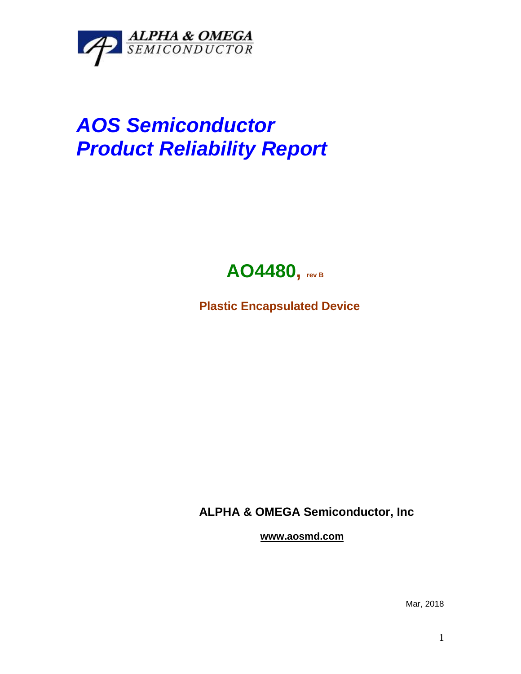

## *AOS Semiconductor Product Reliability Report*



**Plastic Encapsulated Device**

**ALPHA & OMEGA Semiconductor, Inc**

**www.aosmd.com**

Mar, 2018